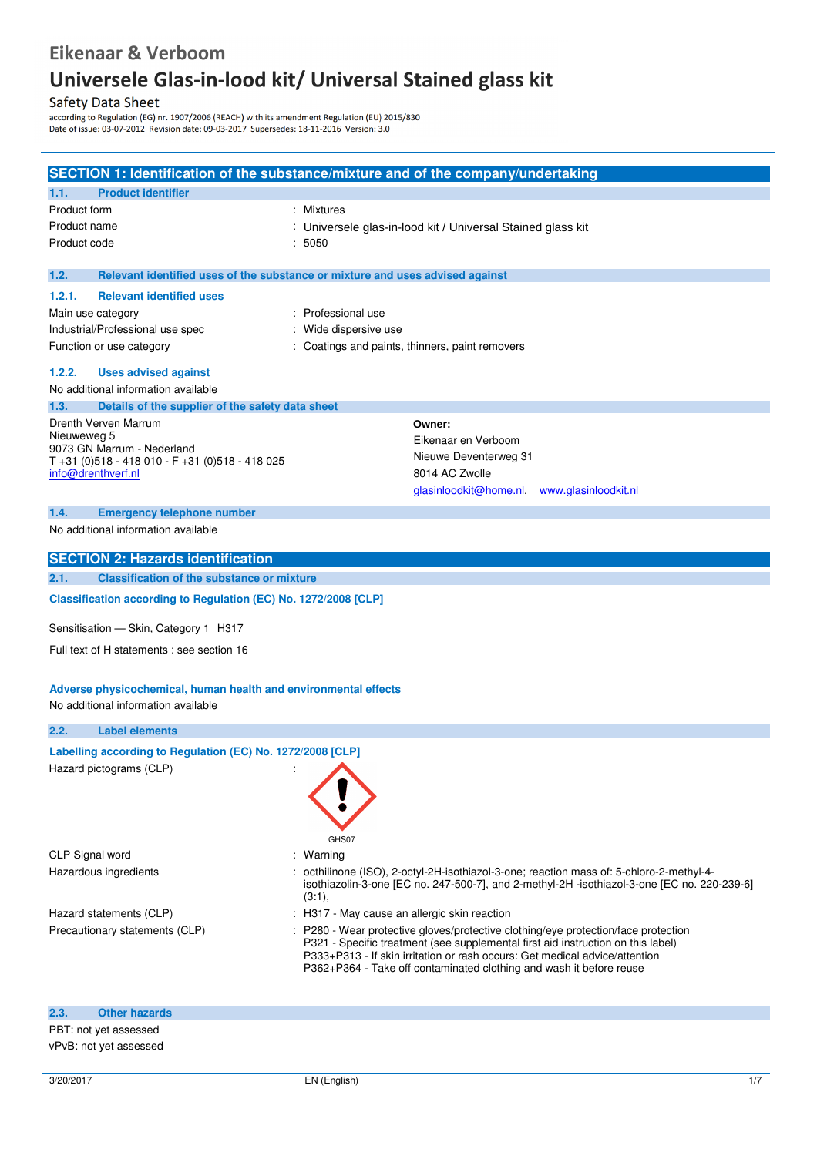# Eikenaar & Verboom

# **Universele Glas in Lood Kit**  od kit/ Univers

## **Safety Data Sheet**

Battery Date Office:<br>according to Regulation (EG) nr. 1907/2006 (REACH) with its amendment Regulation (EU) 2015/830<br>Date of issue: 03-07-2012 Revision date: 09-03-2017 Supersedes: 18-11-2016 Version: 3.0

|                                                                                                        | SECTION 1: Identification of the substance/mixture and of the company/undertaking                                                                                                                                                                                                                                            |  |  |  |
|--------------------------------------------------------------------------------------------------------|------------------------------------------------------------------------------------------------------------------------------------------------------------------------------------------------------------------------------------------------------------------------------------------------------------------------------|--|--|--|
| 1.1.<br><b>Product identifier</b>                                                                      |                                                                                                                                                                                                                                                                                                                              |  |  |  |
| Product form                                                                                           | : Mixtures                                                                                                                                                                                                                                                                                                                   |  |  |  |
| Product name                                                                                           | : Universele glas-in-lood kit / Universal Stained glass kit                                                                                                                                                                                                                                                                  |  |  |  |
| Product code<br>: 5050                                                                                 |                                                                                                                                                                                                                                                                                                                              |  |  |  |
| 1.2.                                                                                                   | Relevant identified uses of the substance or mixture and uses advised against                                                                                                                                                                                                                                                |  |  |  |
| 1.2.1.<br><b>Relevant identified uses</b>                                                              |                                                                                                                                                                                                                                                                                                                              |  |  |  |
| Main use category                                                                                      | : Professional use                                                                                                                                                                                                                                                                                                           |  |  |  |
| Industrial/Professional use spec                                                                       | Wide dispersive use                                                                                                                                                                                                                                                                                                          |  |  |  |
| Function or use category                                                                               | : Coatings and paints, thinners, paint removers                                                                                                                                                                                                                                                                              |  |  |  |
| 1.2.2.<br><b>Uses advised against</b>                                                                  |                                                                                                                                                                                                                                                                                                                              |  |  |  |
| No additional information available                                                                    |                                                                                                                                                                                                                                                                                                                              |  |  |  |
| 1.3.<br>Details of the supplier of the safety data sheet                                               |                                                                                                                                                                                                                                                                                                                              |  |  |  |
| Drenth Verven Marrum                                                                                   | Owner:                                                                                                                                                                                                                                                                                                                       |  |  |  |
| Nieuweweg 5<br>9073 GN Marrum - Nederland                                                              | Eikenaar en Verboom                                                                                                                                                                                                                                                                                                          |  |  |  |
| $T + 31$ (0) 518 - 418 010 - F + 31 (0) 518 - 418 025                                                  | Nieuwe Deventerweg 31                                                                                                                                                                                                                                                                                                        |  |  |  |
| info@drenthverf.nl                                                                                     | 8014 AC Zwolle                                                                                                                                                                                                                                                                                                               |  |  |  |
|                                                                                                        | glasinloodkit@home.nl<br>www.glasinloodkit.nl                                                                                                                                                                                                                                                                                |  |  |  |
| 1.4.<br><b>Emergency telephone number</b>                                                              |                                                                                                                                                                                                                                                                                                                              |  |  |  |
| No additional information available                                                                    |                                                                                                                                                                                                                                                                                                                              |  |  |  |
| <b>SECTION 2: Hazards identification</b>                                                               |                                                                                                                                                                                                                                                                                                                              |  |  |  |
| <b>Classification of the substance or mixture</b><br>2.1.                                              |                                                                                                                                                                                                                                                                                                                              |  |  |  |
| Classification according to Regulation (EC) No. 1272/2008 [CLP]                                        |                                                                                                                                                                                                                                                                                                                              |  |  |  |
| Sensitisation - Skin, Category 1 H317                                                                  |                                                                                                                                                                                                                                                                                                                              |  |  |  |
| Full text of H statements : see section 16                                                             |                                                                                                                                                                                                                                                                                                                              |  |  |  |
| Adverse physicochemical, human health and environmental effects<br>No additional information available |                                                                                                                                                                                                                                                                                                                              |  |  |  |
| 2.2.<br><b>Label elements</b>                                                                          |                                                                                                                                                                                                                                                                                                                              |  |  |  |
| Labelling according to Regulation (EC) No. 1272/2008 [CLP]                                             |                                                                                                                                                                                                                                                                                                                              |  |  |  |
| Hazard pictograms (CLP)                                                                                |                                                                                                                                                                                                                                                                                                                              |  |  |  |
|                                                                                                        | GHS07                                                                                                                                                                                                                                                                                                                        |  |  |  |
| CLP Signal word                                                                                        | : Warning                                                                                                                                                                                                                                                                                                                    |  |  |  |
| Hazardous ingredients                                                                                  | : octhilinone (ISO), 2-octyl-2H-isothiazol-3-one; reaction mass of: 5-chloro-2-methyl-4-<br>isothiazolin-3-one [EC no. 247-500-7], and 2-methyl-2H -isothiazol-3-one [EC no. 220-239-6]<br>(3:1),                                                                                                                            |  |  |  |
| Hazard statements (CLP)                                                                                | : H317 - May cause an allergic skin reaction                                                                                                                                                                                                                                                                                 |  |  |  |
| Precautionary statements (CLP)                                                                         | : P280 - Wear protective gloves/protective clothing/eye protection/face protection<br>P321 - Specific treatment (see supplemental first aid instruction on this label)<br>P333+P313 - If skin irritation or rash occurs: Get medical advice/attention<br>P362+P364 - Take off contaminated clothing and wash it before reuse |  |  |  |
| 2.3.<br><b>Other hazards</b>                                                                           |                                                                                                                                                                                                                                                                                                                              |  |  |  |
| PBT: not yet assessed                                                                                  |                                                                                                                                                                                                                                                                                                                              |  |  |  |
| vPvB: not yet assessed                                                                                 |                                                                                                                                                                                                                                                                                                                              |  |  |  |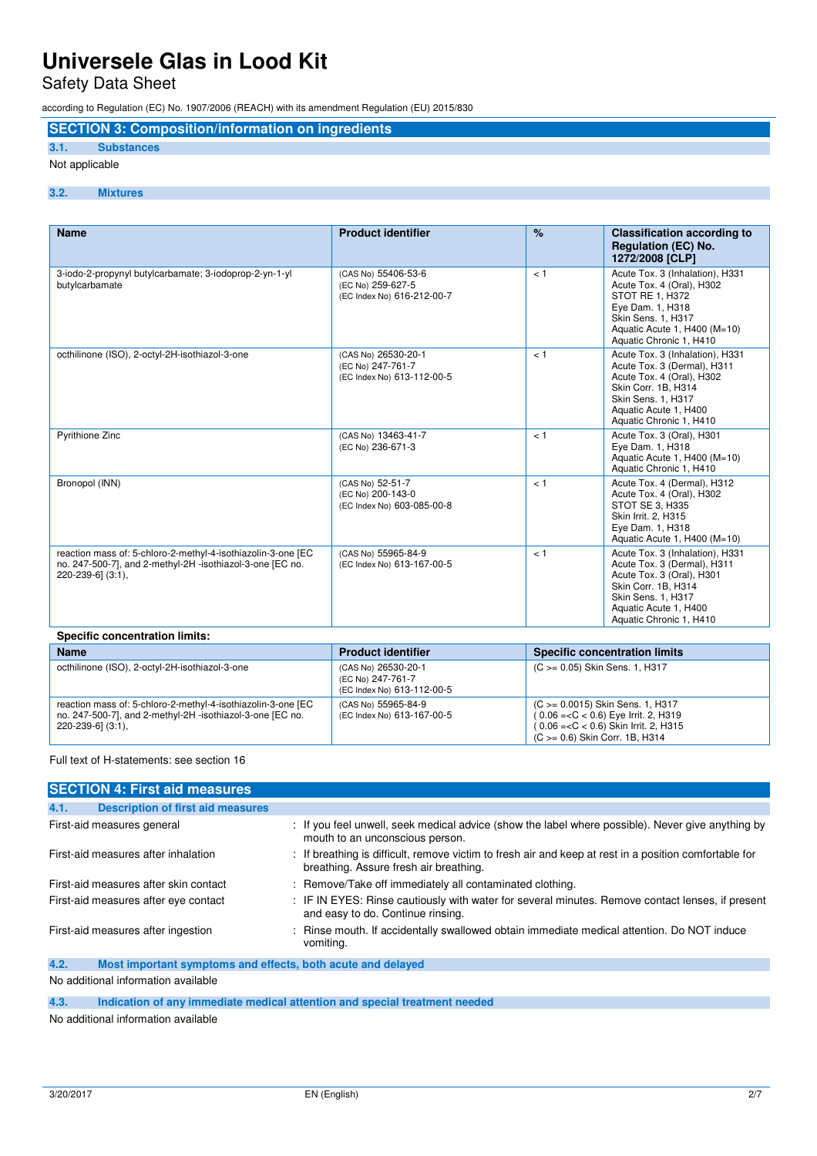Safety Data Sheet

according to Regulation (EC) No. 1907/2006 (REACH) with its amendment Regulation (EU) 2015/830

## **SECTION 3: Composition/information on ingredients**

### **3.1. Substances**

#### Not applicable

#### **3.2. Mixtures**

| <b>Name</b>                                                                                                                                    | <b>Product identifier</b>                                              | $\%$ | <b>Classification according to</b><br><b>Regulation (EC) No.</b><br>1272/2008 [CLP]                                                                                                          |  |
|------------------------------------------------------------------------------------------------------------------------------------------------|------------------------------------------------------------------------|------|----------------------------------------------------------------------------------------------------------------------------------------------------------------------------------------------|--|
| 3-iodo-2-propynyl butylcarbamate; 3-iodoprop-2-yn-1-yl<br>butylcarbamate                                                                       | (CAS No) 55406-53-6<br>(EC No) 259-627-5<br>(EC Index No) 616-212-00-7 | < 1  | Acute Tox. 3 (Inhalation), H331<br>Acute Tox. 4 (Oral), H302<br>STOT RE 1. H372<br>Eye Dam. 1, H318<br>Skin Sens. 1, H317<br>Aquatic Acute 1, H400 (M=10)<br>Aquatic Chronic 1, H410         |  |
| octhilinone (ISO), 2-octyl-2H-isothiazol-3-one                                                                                                 | (CAS No) 26530-20-1<br>(EC No) 247-761-7<br>(EC Index No) 613-112-00-5 | < 1  | Acute Tox. 3 (Inhalation), H331<br>Acute Tox. 3 (Dermal), H311<br>Acute Tox. 4 (Oral), H302<br>Skin Corr. 1B, H314<br>Skin Sens. 1, H317<br>Aquatic Acute 1, H400<br>Aquatic Chronic 1, H410 |  |
| Pyrithione Zinc                                                                                                                                | (CAS No) 13463-41-7<br>(EC No) 236-671-3                               | < 1  | Acute Tox. 3 (Oral), H301<br>Eye Dam. 1, H318<br>Aquatic Acute 1, H400 (M=10)<br>Aquatic Chronic 1, H410                                                                                     |  |
| Bronopol (INN)                                                                                                                                 | (CAS No) 52-51-7<br>(EC No) 200-143-0<br>(EC Index No) 603-085-00-8    | < 1  | Acute Tox. 4 (Dermal), H312<br>Acute Tox. 4 (Oral), H302<br>STOT SE 3, H335<br>Skin Irrit. 2, H315<br>Eye Dam. 1, H318<br>Aquatic Acute 1, H400 (M=10)                                       |  |
| reaction mass of: 5-chloro-2-methyl-4-isothiazolin-3-one [EC<br>no. 247-500-7], and 2-methyl-2H -isothiazol-3-one [EC no.<br>220-239-6] (3:1), | (CAS No) 55965-84-9<br>(EC Index No) 613-167-00-5                      | < 1  | Acute Tox. 3 (Inhalation), H331<br>Acute Tox. 3 (Dermal), H311<br>Acute Tox. 3 (Oral), H301<br>Skin Corr. 1B, H314<br>Skin Sens. 1, H317<br>Aquatic Acute 1, H400<br>Aquatic Chronic 1, H410 |  |
| <b>Specific concentration limits:</b>                                                                                                          |                                                                        |      |                                                                                                                                                                                              |  |

| <b>Name</b>                                                                                                                                    | <b>Product identifier</b>                                              | <b>Specific concentration limits</b>                                                                                                                     |
|------------------------------------------------------------------------------------------------------------------------------------------------|------------------------------------------------------------------------|----------------------------------------------------------------------------------------------------------------------------------------------------------|
| octhilinone (ISO), 2-octyl-2H-isothiazol-3-one                                                                                                 | (CAS No) 26530-20-1<br>(EC No) 247-761-7<br>(EC Index No) 613-112-00-5 | (C >= 0.05) Skin Sens. 1, H317                                                                                                                           |
| reaction mass of: 5-chloro-2-methyl-4-isothiazolin-3-one [EC<br>no. 247-500-7], and 2-methyl-2H -isothiazol-3-one [EC no.<br>220-239-6] (3:1), | (CAS No) 55965-84-9<br>(EC Index No) 613-167-00-5                      | (C > = 0.0015) Skin Sens. 1, H317<br>$(0.06 = < C < 0.6)$ Eye Irrit. 2, H319<br>(0.06 = < C < 0.6) Skin Irrit. 2, H315<br>(C >= 0.6) Skin Corr. 1B, H314 |

#### Full text of H-statements: see section 16

| <b>SECTION 4: First aid measures</b>                                |                                                                                                                                                  |
|---------------------------------------------------------------------|--------------------------------------------------------------------------------------------------------------------------------------------------|
| <b>Description of first aid measures</b><br>4.1.                    |                                                                                                                                                  |
| First-aid measures general                                          | : If you feel unwell, seek medical advice (show the label where possible). Never give anything by<br>mouth to an unconscious person.             |
| First-aid measures after inhalation                                 | : If breathing is difficult, remove victim to fresh air and keep at rest in a position comfortable for<br>breathing. Assure fresh air breathing. |
| First-aid measures after skin contact                               | : Remove/Take off immediately all contaminated clothing.                                                                                         |
| First-aid measures after eye contact                                | : IF IN EYES: Rinse cautiously with water for several minutes. Remove contact lenses, if present<br>and easy to do. Continue rinsing.            |
| First-aid measures after ingestion                                  | : Rinse mouth. If accidentally swallowed obtain immediate medical attention. Do NOT induce<br>vomiting.                                          |
| 4.2.<br>Most important symptoms and effects, both acute and delayed |                                                                                                                                                  |
| No additional information available                                 |                                                                                                                                                  |

No additional information available

**4.3. Indication of any immediate medical attention and special treatment needed** 

No additional information available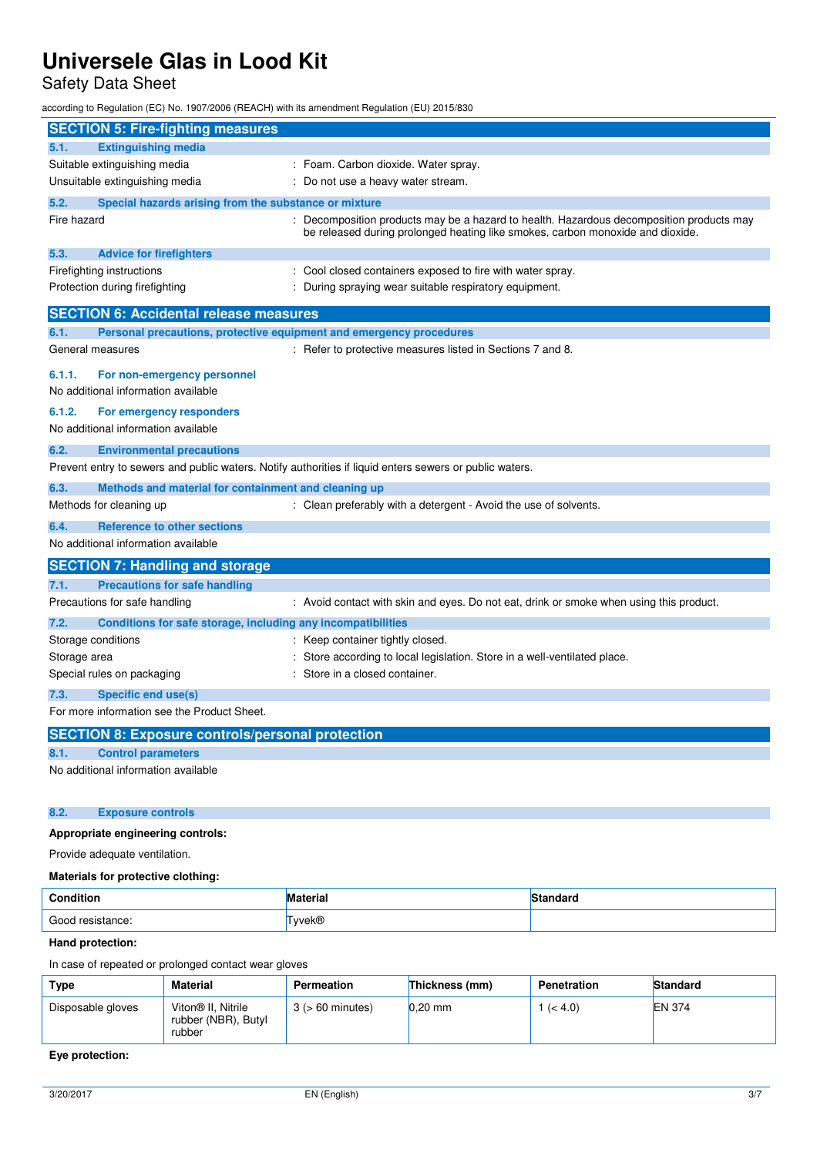Safety Data Sheet

according to Regulation (EC) No. 1907/2006 (REACH) with its amendment Regulation (EU) 2015/830

| <b>SECTION 5: Fire-fighting measures</b>                                                                                                                  |                                                                                                                                                                          |
|-----------------------------------------------------------------------------------------------------------------------------------------------------------|--------------------------------------------------------------------------------------------------------------------------------------------------------------------------|
| <b>Extinguishing media</b><br>5.1.                                                                                                                        |                                                                                                                                                                          |
| Suitable extinguishing media                                                                                                                              | : Foam. Carbon dioxide. Water spray.                                                                                                                                     |
| Unsuitable extinguishing media                                                                                                                            | Do not use a heavy water stream.                                                                                                                                         |
| 5.2.                                                                                                                                                      | Special hazards arising from the substance or mixture                                                                                                                    |
| Fire hazard                                                                                                                                               | Decomposition products may be a hazard to health. Hazardous decomposition products may<br>be released during prolonged heating like smokes, carbon monoxide and dioxide. |
| 5.3.<br><b>Advice for firefighters</b>                                                                                                                    |                                                                                                                                                                          |
| Firefighting instructions                                                                                                                                 | : Cool closed containers exposed to fire with water spray.                                                                                                               |
| Protection during firefighting                                                                                                                            | During spraying wear suitable respiratory equipment.                                                                                                                     |
| <b>SECTION 6: Accidental release measures</b>                                                                                                             |                                                                                                                                                                          |
| 6.1.                                                                                                                                                      | Personal precautions, protective equipment and emergency procedures                                                                                                      |
| General measures                                                                                                                                          | : Refer to protective measures listed in Sections 7 and 8.                                                                                                               |
| 6.1.1.<br>For non-emergency personnel<br>No additional information available<br>6.1.2.<br>For emergency responders<br>No additional information available |                                                                                                                                                                          |
|                                                                                                                                                           |                                                                                                                                                                          |
| 6.2.<br><b>Environmental precautions</b>                                                                                                                  | Prevent entry to sewers and public waters. Notify authorities if liquid enters sewers or public waters.                                                                  |
|                                                                                                                                                           |                                                                                                                                                                          |
| 6.3.                                                                                                                                                      | Methods and material for containment and cleaning up                                                                                                                     |
| Methods for cleaning up                                                                                                                                   | : Clean preferably with a detergent - Avoid the use of solvents.                                                                                                         |
| 6.4.<br><b>Reference to other sections</b>                                                                                                                |                                                                                                                                                                          |
| No additional information available                                                                                                                       |                                                                                                                                                                          |
| <b>SECTION 7: Handling and storage</b>                                                                                                                    |                                                                                                                                                                          |
| <b>Precautions for safe handling</b><br>7.1.                                                                                                              |                                                                                                                                                                          |
| Precautions for safe handling                                                                                                                             | : Avoid contact with skin and eyes. Do not eat, drink or smoke when using this product.                                                                                  |
| 7.2.                                                                                                                                                      | Conditions for safe storage, including any incompatibilities                                                                                                             |
| Storage conditions                                                                                                                                        | : Keep container tightly closed.                                                                                                                                         |
| Storage area                                                                                                                                              | Store according to local legislation. Store in a well-ventilated place.                                                                                                  |
| Special rules on packaging                                                                                                                                | Store in a closed container.                                                                                                                                             |
| 7.3.<br><b>Specific end use(s)</b>                                                                                                                        |                                                                                                                                                                          |
| For more information see the Product Sheet.                                                                                                               |                                                                                                                                                                          |
|                                                                                                                                                           | <b>SECTION 8: Exposure controls/personal protection</b>                                                                                                                  |
| <b>Control parameters</b><br>8.1.                                                                                                                         |                                                                                                                                                                          |
| No additional information available                                                                                                                       |                                                                                                                                                                          |

### **8.2. Exposure controls**

### **Appropriate engineering controls:**

Provide adequate ventilation.

### **Materials for protective clothing:**

| Condition        | <b>Material</b> | ำ*ุดาต่อ สาราช <del>และท</del> |
|------------------|-----------------|--------------------------------|
| Good resistance: | ™yvek®          |                                |

### **Hand protection:**

In case of repeated or prolonged contact wear gloves

| Type              | <b>Material</b>                                                 | Permeation            | Thickness (mm) | <b>Penetration</b> | <b>Standard</b> |
|-------------------|-----------------------------------------------------------------|-----------------------|----------------|--------------------|-----------------|
| Disposable gloves | Viton <sup>®</sup> II. Nitrile<br>rubber (NBR), Butyl<br>rubber | $3$ ( $> 60$ minutes) | $0.20$ mm      | 1 ( $< 4.0$ )      | <b>EN 374</b>   |

#### **Eye protection:**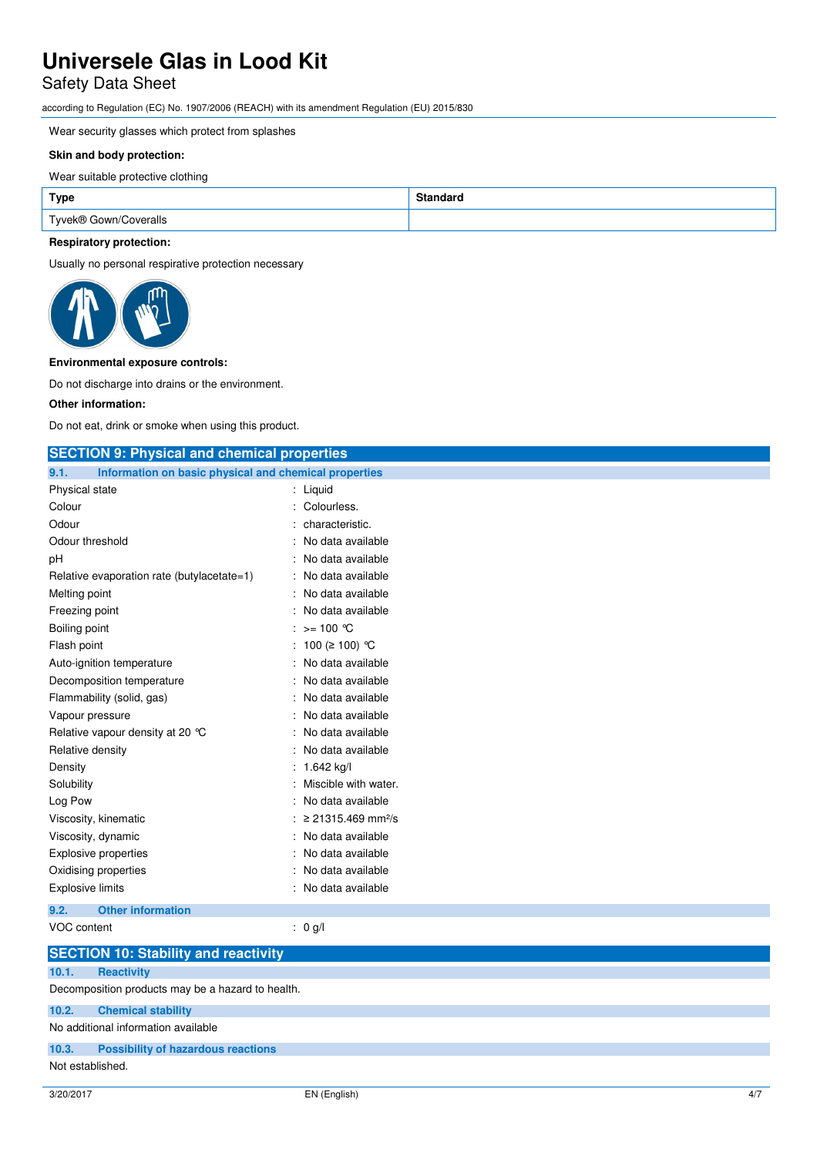# Safety Data Sheet

according to Regulation (EC) No. 1907/2006 (REACH) with its amendment Regulation (EU) 2015/830

Wear security glasses which protect from splashes

#### **Skin and body protection:**

Wear suitable protective clothing

| <b>Type</b>           | ™andaru |
|-----------------------|---------|
| Tyvek® Gown/Coveralls |         |

#### **Respiratory protection:**

Usually no personal respirative protection necessary



#### **Environmental exposure controls:**

Do not discharge into drains or the environment.

#### **Other information:**

Do not eat, drink or smoke when using this product.

## **SECTION 9: Physical and chemical properties**

| 9.1.                        | Information on basic physical and chemical properties |  |                                  |
|-----------------------------|-------------------------------------------------------|--|----------------------------------|
| <b>Physical state</b>       |                                                       |  | : Liquid                         |
| Colour                      |                                                       |  | Colourless.                      |
| Odour                       |                                                       |  | characteristic.                  |
| Odour threshold             |                                                       |  | No data available                |
| рH                          |                                                       |  | No data available                |
|                             | Relative evaporation rate (butylacetate=1)            |  | No data available                |
| Melting point               |                                                       |  | No data available                |
| Freezing point              |                                                       |  | No data available                |
| Boiling point               |                                                       |  | : >= 100 ℃                       |
| Flash point                 |                                                       |  | 100 (≥ 100) °C                   |
|                             | Auto-ignition temperature                             |  | No data available                |
|                             | Decomposition temperature                             |  | No data available                |
|                             | Flammability (solid, gas)                             |  | No data available                |
| Vapour pressure             |                                                       |  | No data available                |
|                             | Relative vapour density at 20 $^{\circ}$ C            |  | No data available                |
| Relative density            |                                                       |  | No data available                |
| Density                     |                                                       |  | 1.642 kg/l                       |
| Solubility                  |                                                       |  | Miscible with water.             |
| Log Pow                     |                                                       |  | No data available                |
|                             | Viscosity, kinematic                                  |  | $≥ 21315.469$ mm <sup>2</sup> /s |
| Viscosity, dynamic          |                                                       |  | No data available                |
| <b>Explosive properties</b> |                                                       |  | No data available                |
|                             | Oxidising properties                                  |  | No data available                |
| <b>Explosive limits</b>     |                                                       |  | No data available                |
| 9.2.                        | <b>Other information</b>                              |  |                                  |

## VOC content : 0 g/l

|                                     | <b>SECTION 10: Stability and reactivity</b>       |  |
|-------------------------------------|---------------------------------------------------|--|
| 10.1.                               | <b>Reactivity</b>                                 |  |
|                                     | Decomposition products may be a hazard to health. |  |
| 10.2.                               | <b>Chemical stability</b>                         |  |
| No additional information available |                                                   |  |
|                                     | 10.3. Possibility of hazardous reactions          |  |
| Not established.                    |                                                   |  |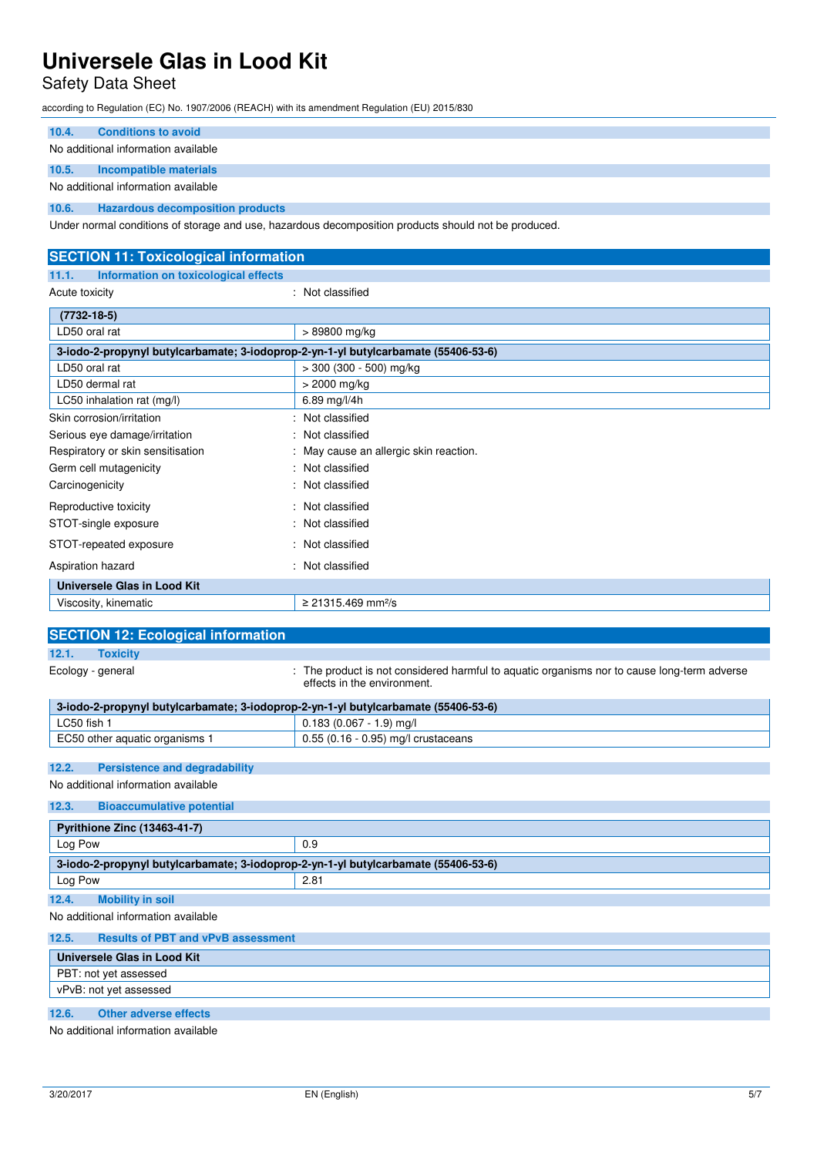# Safety Data Sheet

according to Regulation (EC) No. 1907/2006 (REACH) with its amendment Regulation (EU) 2015/830

| 10.4. | <b>Conditions to avoid</b>              |  |  |
|-------|-----------------------------------------|--|--|
|       | No additional information available     |  |  |
| 10.5. | Incompatible materials                  |  |  |
|       | No additional information available     |  |  |
| 10.6. | <b>Hazardous decomposition products</b> |  |  |

Under normal conditions of storage and use, hazardous decomposition products should not be produced.

| <b>SECTION 11: Toxicological information</b>                                       |                                      |  |  |
|------------------------------------------------------------------------------------|--------------------------------------|--|--|
| Information on toxicological effects<br>11.1.                                      |                                      |  |  |
| Acute toxicity                                                                     | : Not classified                     |  |  |
| $(7732 - 18 - 5)$                                                                  |                                      |  |  |
| LD50 oral rat                                                                      | > 89800 mg/kg                        |  |  |
| 3-iodo-2-propynyl butylcarbamate; 3-iodoprop-2-yn-1-yl butylcarbamate (55406-53-6) |                                      |  |  |
| LD50 oral rat                                                                      | $>$ 300 (300 - 500) mg/kg            |  |  |
| LD50 dermal rat                                                                    | > 2000 mg/kg                         |  |  |
| LC50 inhalation rat (mg/l)                                                         | 6.89 mg/l/4h                         |  |  |
| Skin corrosion/irritation                                                          | : Not classified                     |  |  |
| Serious eye damage/irritation                                                      | Not classified                       |  |  |
| Respiratory or skin sensitisation                                                  | May cause an allergic skin reaction. |  |  |
| Germ cell mutagenicity                                                             | Not classified                       |  |  |
| Carcinogenicity                                                                    | : Not classified                     |  |  |
| Reproductive toxicity                                                              | : Not classified                     |  |  |
| STOT-single exposure                                                               | : Not classified                     |  |  |
| STOT-repeated exposure                                                             | : Not classified                     |  |  |
| Aspiration hazard                                                                  | Not classified                       |  |  |
| Universele Glas in Lood Kit                                                        |                                      |  |  |
| Viscosity, kinematic                                                               | ≥ 21315.469 mm <sup>2</sup> /s       |  |  |

| <b>SECTION 12: Ecological information</b>                                                                                                       |                                       |  |  |  |
|-------------------------------------------------------------------------------------------------------------------------------------------------|---------------------------------------|--|--|--|
| <b>Toxicity</b><br>12.1.                                                                                                                        |                                       |  |  |  |
| : The product is not considered harmful to aquatic organisms nor to cause long-term adverse<br>Ecology - general<br>effects in the environment. |                                       |  |  |  |
| 3-iodo-2-propynyl butylcarbamate; 3-iodoprop-2-yn-1-yl butylcarbamate (55406-53-6)                                                              |                                       |  |  |  |
| LC50 fish 1                                                                                                                                     | $0.183(0.067 - 1.9)$ mg/l             |  |  |  |
| EC50 other aquatic organisms 1                                                                                                                  | $0.55$ (0.16 - 0.95) mg/l crustaceans |  |  |  |
|                                                                                                                                                 |                                       |  |  |  |
| 12.2.<br><b>Persistence and degradability</b>                                                                                                   |                                       |  |  |  |
| No additional information available                                                                                                             |                                       |  |  |  |
| 12.3.<br><b>Bioaccumulative potential</b>                                                                                                       |                                       |  |  |  |
| <b>Pyrithione Zinc (13463-41-7)</b>                                                                                                             |                                       |  |  |  |
| Log Pow                                                                                                                                         | 0.9                                   |  |  |  |
| 3-iodo-2-propynyl butylcarbamate; 3-iodoprop-2-yn-1-yl butylcarbamate (55406-53-6)                                                              |                                       |  |  |  |
| Log Pow                                                                                                                                         | 2.81                                  |  |  |  |
| 12.4.<br><b>Mobility in soil</b>                                                                                                                |                                       |  |  |  |
| No additional information available                                                                                                             |                                       |  |  |  |
| 12.5.<br><b>Results of PBT and vPvB assessment</b>                                                                                              |                                       |  |  |  |
| Universele Glas in Lood Kit                                                                                                                     |                                       |  |  |  |
| PBT: not yet assessed                                                                                                                           |                                       |  |  |  |

**12.6. Other adverse effects**  No additional information available

vPvB: not yet assessed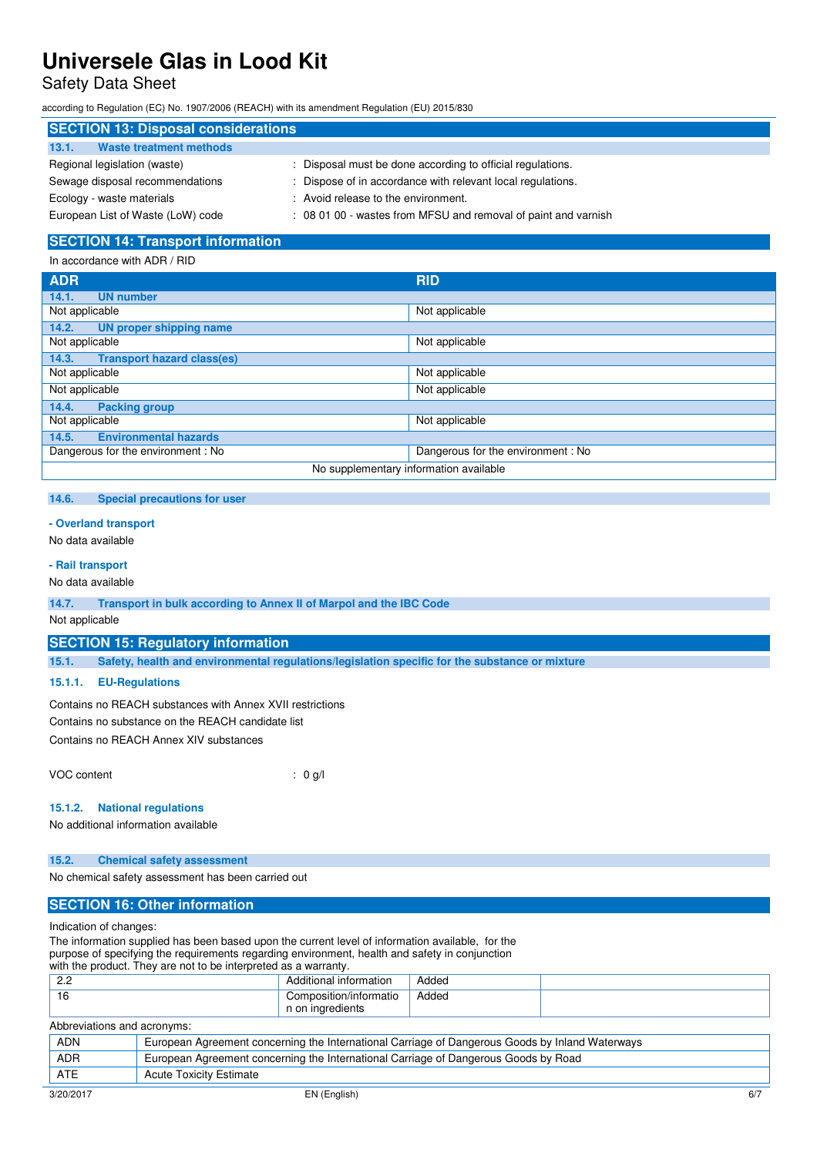Safety Data Sheet

according to Regulation (EC) No. 1907/2006 (REACH) with its amendment Regulation (EU) 2015/830

| <b>SECTION 13: Disposal considerations</b> |                                                                |  |  |
|--------------------------------------------|----------------------------------------------------------------|--|--|
| <b>Waste treatment methods</b><br>13.1.    |                                                                |  |  |
| Regional legislation (waste)               | Disposal must be done according to official regulations.       |  |  |
| Sewage disposal recommendations            | : Dispose of in accordance with relevant local regulations.    |  |  |
| Ecology - waste materials                  | : Avoid release to the environment.                            |  |  |
| European List of Waste (LoW) code          | : 08 01 00 - wastes from MFSU and removal of paint and varnish |  |  |

### **SECTION 14: Transport information**

| In accordance with ADR / RID               |                                   |  |
|--------------------------------------------|-----------------------------------|--|
| <b>ADR</b>                                 | <b>RID</b>                        |  |
| 14.1.<br><b>UN number</b>                  |                                   |  |
| Not applicable                             | Not applicable                    |  |
| <b>UN proper shipping name</b><br>14.2.    |                                   |  |
| Not applicable                             | Not applicable                    |  |
| <b>Transport hazard class(es)</b><br>14.3. |                                   |  |
| Not applicable                             | Not applicable                    |  |
| Not applicable                             | Not applicable                    |  |
| 14.4.<br><b>Packing group</b>              |                                   |  |
| Not applicable                             | Not applicable                    |  |
| <b>Environmental hazards</b><br>14.5.      |                                   |  |
| Dangerous for the environment: No          | Dangerous for the environment: No |  |
| No supplementary information available     |                                   |  |

## **14.6. Special precautions for user**

#### **- Overland transport**

No data available

#### **- Rail transport**

No data available

**14.7. Transport in bulk according to Annex II of Marpol and the IBC Code** 

Not applicable

#### **SECTION 15: Regulatory information**

**15.1. Safety, health and environmental regulations/legislation specific for the substance or mixture** 

#### **15.1.1. EU-Regulations**

Contains no REACH substances with Annex XVII restrictions Contains no substance on the REACH candidate list

Contains no REACH Annex XIV substances

VOC content : 0 g/l

#### **15.1.2. National regulations**

No additional information available

#### **15.2. Chemical safety assessment**

No chemical safety assessment has been carried out

## **SECTION 16: Other information**

Indication of changes:

The information supplied has been based upon the current level of information available, for the purpose of specifying the requirements regarding environment, health and safety in conjunction

|  |  |  |  |  | with the product. They are not to be interpreted as a warranty. |
|--|--|--|--|--|-----------------------------------------------------------------|
|--|--|--|--|--|-----------------------------------------------------------------|

| <u>ാറ</u><br><u>.</u> | .<br>information<br>ditional                   | Added      |  |
|-----------------------|------------------------------------------------|------------|--|
| -16                   | composition/informatio?<br>inaredients ہ<br>וש | Added<br>. |  |

| Abbreviations and acronyms: |                                                                                                 |     |
|-----------------------------|-------------------------------------------------------------------------------------------------|-----|
| <b>ADN</b>                  | European Agreement concerning the International Carriage of Dangerous Goods by Inland Waterways |     |
| <b>ADR</b>                  | European Agreement concerning the International Carriage of Dangerous Goods by Road             |     |
| ATE                         | <b>Acute Toxicity Estimate</b>                                                                  |     |
| 3/20/2017                   | EN (English)                                                                                    | 6/7 |